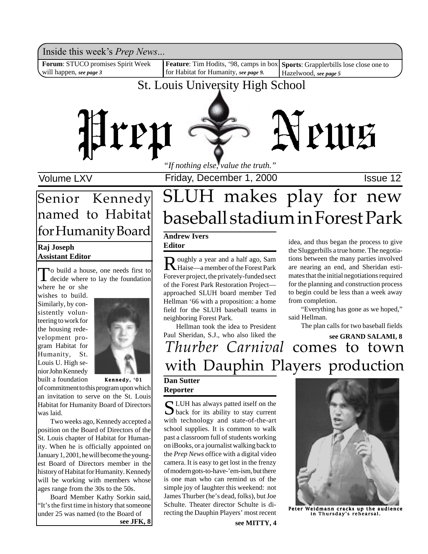Inside this week's *Prep News*...

**Forum**: STUCO promises Spirit Week will happen, *see page 3*

**Feature**: Tim Hodits, '98, camps in box Sports: Grapplerbills lose close one to for Habitat for Humanity, *see page 9.*

Hazelwood, *see page 5*

### St. Louis University High School



Volume LXV **Interpretent Controller Friday, December 1, 2000 ISSue 12** 

## **Raj Joseph** Senior Kennedy named to Habitat for Humanity Board

### **Assistant Editor**

To build a house, one needs first to decide where to lay the foundation where he or she

wishes to build. Similarly, by consistently volunteering to work for the housing redevelopment program Habitat for Humanity, St. Louis U. High senior John Kennedy built a foundation



Kennedy, '01

of commitment to this program upon which an invitation to serve on the St. Louis Habitat for Humanity Board of Directors was laid.

Two weeks ago, Kennedy accepted a position on the Board of Directors of the St. Louis chapter of Habitat for Humanity. When he is officially appointed on January 1, 2001, he will become the youngest Board of Directors member in the history of Habitat for Humanity. Kennedy will be working with members whose ages range from the 30s to the 50s.

Board Member Kathy Sorkin said, "It's the first time in history that someone under 25 was named (to the Board of **see JFK, 8**

## SLUH makes play for new baseball stadium in Forest Park

### **Andrew Ivers Editor**

Roughly a year and a half ago, Sam<br>Haise—a member of the Forest Park Forever project, the privately-funded sect of the Forest Park Restoration Project approached SLUH board member Ted Hellman '66 with a proposition: a home field for the SLUH baseball teams in neighboring Forest Park.

Hellman took the idea to President Paul Sheridan, S.J., who also liked the

idea, and thus began the process to give the Sluggerbills a true home. The negotiations between the many parties involved are nearing an end, and Sheridan estimates that the initial negotiations required for the planning and construction process to begin could be less than a week away from completion.

"Everything has gone as we hoped," said Hellman.

The plan calls for two baseball fields

## *Thurber Carnival* comes to town with Dauphin Players production **see GRAND SALAMI, 8**

### **Dan Sutter Reporter**

SLUH has always patted itself on the  $\sum$  back for its ability to stay current with technology and state-of-the-art school supplies. It is common to walk past a classroom full of students working on iBooks, or a journalist walking back to the *Prep News* office with a digital video camera. It is easy to get lost in the frenzy of modern gots-to-have-'em-ism, but there is one man who can remind us of the simple joy of laughter this weekend: not James Thurber (he's dead, folks), but Joe Schulte. Theater director Schulte is directing the Dauphin Players' most recent



Peter Weidmann cracks up the audience in Thursday's rehearsal.

**see MITTY, 4**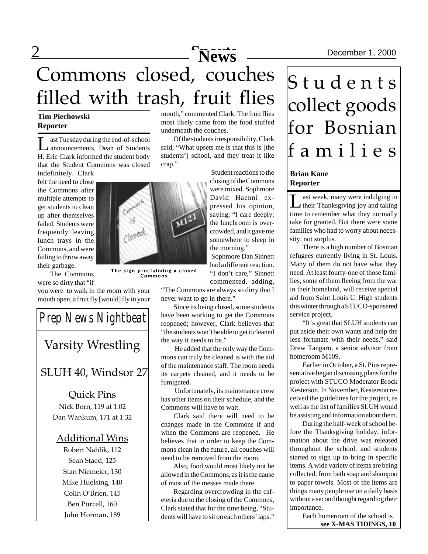## 2 December 1, 2000 Commons closed, couches filled with trash, fruit flies

### **Tim Piechowski Reporter**

ast Tuesday during the end-of-school announcements, Dean of Students H. Eric Clark informed the student body that the Student Commons was closed

indefinitely. Clark felt the need to close the Commons after multiple attempts to get students to clean up after themselves failed. Students were frequently leaving lunch trays in the Commons, and were failing to throw away their garbage.

nte closed

The sign proclaiming a closed Commons

The Commons were so dirty that "if

you were to walk in the room with your mouth open, a fruit fly [would] fly in your

SLUH 40, Windsor 27 Quick Pins Nick Born, 119 at 1:02 Dan Wankum, 171 at 1:32 Additional Wins Robert Nahlik, 112 Sean Staed, 125 Stan Niemeier, 130 *Prep News Nightbeat* Varsity Wrestling

Mike Huelsing, 140 Colin O'Brien, 145 Ben Purcell, 160

John Horman, 189

mouth," commented Clark. The fruit flies most likely came from the food stuffed underneath the couches.

Of the students irresponsibility, Clark said, "What upsets me is that this is [the students'] school, and they treat it like crap."

> Student reactions to the closing of the Commons were mixed. Sophmore David Haenni expressed his opinion, saying, "I care deeply; the lunchroom is overcrowded, and it gave me somewhere to sleep in the morning."

Sophmore Dan Sinnett had a different reaction. "I don't care," Sinnett commented, adding,

"The Commons are always so dirty that I never want to go in there."

Since its being closed, some students have been working to get the Commons reopened; however, Clark believes that "the students won't be able to get it cleaned the way it needs to be."

 He added that the only way the Commons can truly be cleaned is with the aid of the maintenance staff. The room needs its carpets cleaned, and it needs to be fumigated.

 Unfortunately, its maintenance crew has other items on their schedule, and the Commons will have to wait.

Clark said there will need to be changes made in the Commons if and when the Commons are reopened. He believes that in order to keep the Commons clean in the future, all couches will need to be removed from the room.

Also, food would most likely not be allowed in the Commons, as it is the cause of most of the messes made there.

Regarding overcrowding in the cafeteria due to the closing of the Commons, Clark stated that for the time being, "Students will have to sit on each others' laps."

## Students collect goods for Bosnian families

### **Brian Kane Reporter**

Last week, many were indulging in<br>their Thanksgiving joy and taking time to remember what they normally take for granted. But there were some families who had to worry about necessity, not surplus.

There is a high number of Bosnian refugees currently living in St. Louis. Many of them do not have what they need. At least fourty-one of those families, some of them fleeing from the war in their homeland, will receive special aid from Saint Louis U. High students this winter through a STUCO-sponsered service project.

"It's great that SLUH students can put aside their own wants and help the less fortunate with their needs," said Drew Tangaro, a senior advisor from homeroom M109.

Earlier in October, a St. Pius representative began discussing plans for the project with STUCO Moderator Brock Kesterson. In November, Kesterson received the guidelines for the project, as well as the list of families SLUH would be assisting and information about them.

During the half-week of school before the Thanksgiving holiday, information about the drive was released throughout the school, and students started to sign up to bring in specific items. A wide variety of items are being collected, from bath soap and shampoo to paper towels. Most of the items are things many people use on a daily basis without a second thought regarding their importance.

Each homeroom of the school is **see X-MAS TIDINGS, 10**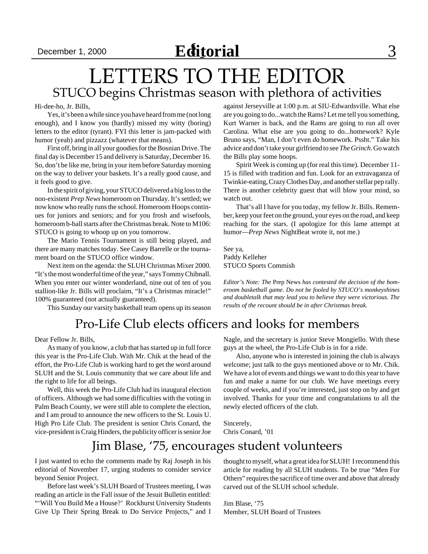## LETTERS TO THE EDITOR STUCO begins Christmas season with plethora of activities

#### Hi-dee-ho, Jr. Bills,

Yes, it's been a while since you have heard from me (not long enough), and I know you (hardly) missed my witty (boring) letters to the editor (tyrant). FYI this letter is jam-packed with humor (yeah) and pizzazz (whatever that means).

First off, bring in all your goodies for the Bosnian Drive. The final day is December 15 and delivery is Saturday, December 16. So, don't be like me, bring in your item before Saturday morning on the way to deliver your baskets. It's a really good cause, and it feels good to give.

In the spirit of giving, your STUCO delivered a big loss to the non-existent *Prep News* homeroom on Thursday. It's settled; we now know who really runs the school. Homeroom Hoops continues for juniors and seniors; and for you frosh and wisefools, homeroom b-ball starts after the Christmas break. Note to M106: STUCO is going to whoop up on you tomorrow.

The Mario Tennis Tournament is still being played, and there are many matches today. See Casey Barrelle or the tournament board on the STUCO office window.

Next item on the agenda: the SLUH Christmas Mixer 2000. "It's the most wonderful time of the year," says Tommy Chibnall. When you enter our winter wonderland, nine out of ten of you stallion-like Jr. Bills will proclaim, "It's a Christmas miracle!" 100% guaranteed (not actually guaranteed).

This Sunday our varsity basketball team opens up its season

### Pro-Life Club elects officers and looks for members

Dear Fellow Jr. Bills,

As many of you know, a club that has started up in full force this year is the Pro-Life Club. With Mr. Chik at the head of the effort, the Pro-Life Club is working hard to get the word around SLUH and the St. Louis community that we care about life and the right to life for all beings.

Well, this week the Pro-Life Club had its inaugural election of officers. Although we had some difficulties with the voting in Palm Beach County, we were still able to complete the election, and I am proud to announce the new officers to the St. Louis U. High Pro Life Club. The president is senior Chris Conard, the vice-president is Craig Hinders, the publicity officer is senior Joe against Jerseyville at 1:00 p.m. at SIU-Edwardsville. What else are you going to do...watch the Rams? Let me tell you something, Kurt Warner is back, and the Rams are going to run all over Carolina. What else are you going to do...homework? Kyle Bruno says, "Man, I don't even *do* homework. Pssht." Take his advice and don't take your girlfriend to see *The Grinch*. Go watch the Bills play some hoops.

Spirit Week is coming up (for real this time). December 11- 15 is filled with tradition and fun. Look for an extravaganza of Twinkie-eating, Crazy Clothes Day, and another stellar pep rally. There is another celebrity guest that will blow your mind, so watch out.

That's all I have for you today, my fellow Jr. Bills. Remember, keep your feet on the ground, your eyes on the road, and keep reaching for the stars. (I apologize for this lame attempt at humor—*Prep News* NightBeat wrote it, not me.)

See ya, Paddy Kelleher STUCO Sports Commish

*Editor's Note: The* Prep News *has contested the decision of the homeroom basketball game. Do not be fooled by STUCO's monkeyshines and doubletalk that may lead you to believe they were victorious. The results of the recount should be in after Christmas break.*

Nagle, and the secretary is junior Steve Mongiello. With these guys at the wheel, the Pro-Life Club is in for a ride.

Also, anyone who is interested in joining the club is always welcome; just talk to the guys mentioned above or to Mr. Chik. We have a lot of events and things we want to do this year to have fun and make a name for our club. We have meetings every couple of weeks, and if you're interested, just stop on by and get involved. Thanks for your time and congratulations to all the newly elected officers of the club.

Sincerely, Chris Conard, '01

### Jim Blase, '75, encourages student volunteers

I just wanted to echo the comments made by Raj Joseph in his editorial of November 17, urging students to consider service beyond Senior Project.

Before last week's SLUH Board of Trustees meeting, I was reading an article in the Fall issue of the Jesuit Bulletin entitled: "'Will You Build Me a House?' Rockhurst University Students Give Up Their Spring Break to Do Service Projects," and I thought to myself, what a great idea for SLUH! I recommend this article for reading by all SLUH students. To be true "Men For Others" requires the sacrifice of time over and above that already carved out of the SLUH school schedule.

Jim Blase, '75 Member, SLUH Board of Trustees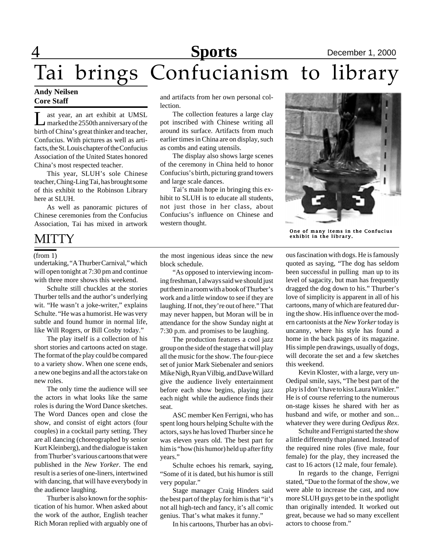## **Sports** December 1, 2000

# Tai brings Confucianism to library

### **Andy Neilsen Core Staff**

Let year, an art exhibit at UMSL<br>marked the 2550th anniversary of the birth of China's great thinker and teacher, Confucius. With pictures as well as artifacts, the St. Louis chapter of the Confucius Association of the United States honored China's most respected teacher.

This year, SLUH's sole Chinese teacher, Ching-Ling Tai, has brought some of this exhibit to the Robinson Library here at SLUH.

As well as panoramic pictures of Chinese ceremonies from the Confucius Association, Tai has mixed in artwork

## **MITTY**

#### (from 1)

undertaking, "A Thurber Carnival," which will open tonight at 7:30 pm and continue with three more shows this weekend.

Schulte still chuckles at the stories Thurber tells and the author's underlying wit. "He wasn't a joke-writer," explains Schulte. "He was a humorist. He was very subtle and found humor in normal life, like Will Rogers, or Bill Cosby today."

The play itself is a collection of his short stories and cartoons acted on stage. The format of the play could be compared to a variety show. When one scene ends, a new one begins and all the actors take on new roles.

The only time the audience will see the actors in what looks like the same roles is during the Word Dance sketches. The Word Dances open and close the show, and consist of eight actors (four couples) in a cocktail party setting. They are all dancing (choreographed by senior Kurt Kleinberg), and the dialogue is taken from Thurber's various cartoons that were published in the *New Yorker*. The end result is a series of one-liners, intertwined with dancing, that will have everybody in the audience laughing.

Thurber is also known for the sophistication of his humor. When asked about the work of the author, English teacher Rich Moran replied with arguably one of and artifacts from her own personal collection.

The collection features a large clay pot inscribed with Chinese writing all around its surface. Artifacts from much earlier times in China are on display, such as combs and eating utensils.

The display also shows large scenes of the ceremony in China held to honor Confucius's birth, picturing grand towers and large scale dances.

Tai's main hope in bringing this exhibit to SLUH is to educate all students, not just those in her class, about Confucius's influence on Chinese and western thought.



One of many items in the Confucius exhibit in the library.

the most ingenious ideas since the new block schedule.

"As opposed to interviewing incoming freshman, I always said we should just put them in a room with a book of Thurber's work and a little window to see if they are laughing. If not, they're out of here." That may never happen, but Moran will be in attendance for the show Sunday night at 7:30 p.m. and promises to be laughing.

The production features a cool jazz group on the side of the stage that will play all the music for the show. The four-piece set of junior Mark Siebenaler and seniors Mike Nigh, Ryan Vilbig, and Dave Willard give the audience lively entertainment before each show begins, playing jazz each night while the audience finds their seat.

ASC member Ken Ferrigni, who has spent long hours helping Schulte with the actors, says he has loved Thurber since he was eleven years old. The best part for him is "how (his humor) held up after fifty years."

Schulte echoes his remark, saying, "Some of it is dated, but his humor is still very popular."

Stage manager Craig Hinders said the best part of the play for him is that "it's not all high-tech and fancy, it's all comic genius. That's what makes it funny."

In his cartoons, Thurber has an obvi-

ous fascination with dogs. He is famously quoted as saying, "The dog has seldom been successful in pulling man up to its level of sagacity, but man has frequently dragged the dog down to his." Thurber's love of simplicity is apparent in all of his cartoons, many of which are featured during the show. His influence over the modern cartoonists at the *New Yorker* today is uncanny, where his style has found a home in the back pages of its magazine. His simple pen drawings, usually of dogs, will decorate the set and a few sketches this weekend.

Kevin Kloster, with a large, very un-Oedipal smile, says, "The best part of the play is I don't have to kiss Laura Winkler." He is of course referring to the numerous on-stage kisses he shared with her as husband and wife, or mother and son... whatever they were during *Oedipus Rex*.

Schulte and Ferrigni started the show a little differently than planned. Instead of the required nine roles (five male, four female) for the play, they increased the cast to 16 actors (12 male, four female).

In regards to the change, Ferrigni stated, "Due to the format of the show, we were able to increase the cast, and now more SLUH guys get to be in the spotlight than originally intended. It worked out great, because we had so many excellent actors to choose from."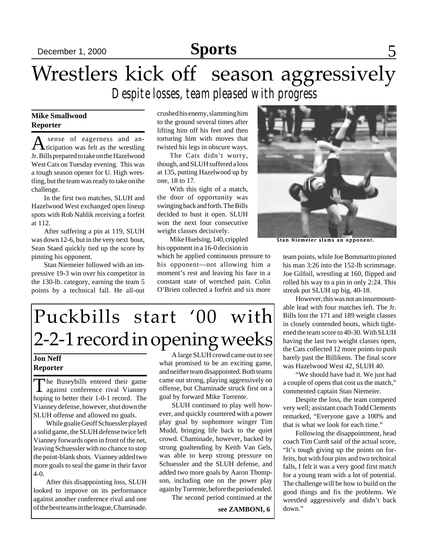## Sports 5<sub>5</sub>

## Wrestlers kick off season aggressively *Despite losses, team pleased with progress*

### **Mike Smallwood Reporter**

A sense of eagerness and an-<br>ticipation was felt as the wrestling Jr. Bills prepared to take on the Hazelwood West Cats on Tuesday evening. This was a tough season opener for U. High wrestling, but the team was ready to take on the challenge.

In the first two matches, SLUH and Hazelwood West exchanged open lineup spots with Rob Nahlik receiving a forfeit at 112.

After suffering a pin at 119, SLUH was down 12-6, but in the very next bout, Sean Staed quickly tied up the score by pinning his opponent.

Stan Niemeier followed with an impressive 19-3 win over his competitor in the 130-lb. category, earning the team 5 points by a technical fall. He all-out crushed his enemy, slamming him to the ground several times after lifting him off his feet and then torturing him with moves that twisted his legs in obscure ways.

The Cats didn't worry, though, and SLUH suffered a loss at 135, putting Hazelwood up by one, 18 to 17.

With this tight of a match, the door of opportunity was swinging back and forth. The Bills decided to bust it open. SLUH won the next four consecutive weight classes decisively.

Mike Huelsing, 140, crippled his opponent in a 16-0 decision in

which he applied continuous pressure to his opponent—not allowing him a moment's rest and leaving his face in a constant state of wretched pain. Colin O'Brien collected a forfeit and six more



Stan Niemeier slams an opponent.

team points, while Joe Bommarito pinned his man 3:26 into the 152-lb scrimmage. Joe Gilfoil, wrestling at 160, flipped and rolled his way to a pin in only 2:24. This streak put SLUH up big, 40-18.

However, this was not an insurmountable lead with four matches left. The Jr. Bills lost the 171 and 189 weight classes in closely contended bouts, which tightened the team score to 40-30. With SLUH having the last two weight classes open, the Cats collected 12 more points to push barely past the Billikens. The final score was Hazelwood West 42, SLUH 40.

"We should have had it. We just had a couple of opens that cost us the match," commented captain Stan Niemeier.

Despite the loss, the team competed very well; assistant coach Todd Clements remarked, "Everyone gave a 100% and that is what we look for each time."

Following the disappointment, head coach Tim Curdt said of the actual score, "It's tough giving up the points on forfeits, but with four pins and two technical falls, I felt it was a very good first match for a young team with a lot of potential. The challenge will be how to build on the good things and fix the problems. We wrestled aggressively and didn't back down."

## Puckbills start '00 with 2-2-1 record in opening weeks

### **Jon Neff Reporter**

The Buseybills entered their game against conference rival Vianney hoping to better their 1-0-1 record. The Vianney defense, however, shut down the SLUH offense and allowed no goals.

While goalie Geoff Schuessler played a solid game, the SLUH defense twice left Vianney forwards open in front of the net, leaving Schuessler with no chance to stop the point-blank shots. Vianney added two more goals to seal the game in their favor 4-0.

After this disappointing loss, SLUH looked to improve on its performance against another conference rival and one of the best teams in the league, Chaminade.

A large SLUH crowd came out to see what promised to be an exciting game, and neither team disappointed. Both teams came out strong, playing aggressively on offense, but Chaminade struck first on a goal by forward Mike Torrente.

SLUH continued to play well however, and quickly countered with a power play goal by sophomore winger Tim Mudd, bringing life back to the quiet crowd. Chaminade, however, backed by strong goaltending by Keith Van Gels, was able to keep strong pressure on Schuessler and the SLUH defense, and added two more goals by Aaron Thompson, including one on the power play again by Torrente, before the period ended.

The second period continued at the

**see ZAMBONI, 6**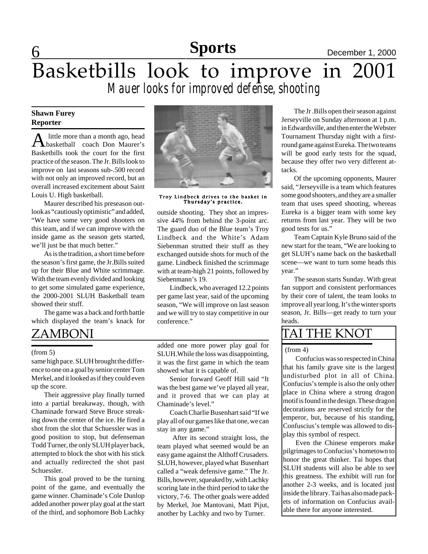### **Sports**

## 6 **Sports** December 1, 2000 Basketbills look to improve in 2001 *Mauer looks for improved defense, shooting*

### **Shawn Furey Reporter**

A little more than a month ago, head<br>coach Don Maurer's Basketbills took the court for the first practice of the season. The Jr. Bills look to improve on last seasons sub-.500 record with not only an improved record, but an overall increased excitement about Saint Louis U. High basketball.

Maurer described his preseason outlook as "cautiously optimistic" and added, "We have some very good shooters on this team, and if we can improve with the inside game as the season gets started, we'll just be that much better."

As is the tradition, a short time before the season's first game, the Jr.Bills suited up for their Blue and White scrimmage. With the team evenly divided and looking to get some simulated game experience, the 2000-2001 SLUH Basketball team showed their stuff.

The game was a back and forth battle which displayed the team's knack for

### ZAMBONI

#### (from 5)

same high pace. SLUH brought the difference to one on a goal by senior center Tom Merkel, and it looked as if they could even up the score.

Their aggressive play finally turned into a partial breakaway, though, with Chaminade forward Steve Bruce streaking down the center of the ice. He fired a shot from the slot that Schuessler was in good position to stop, but defenseman Todd Turner, the only SLUH player back, attempted to block the shot with his stick and actually redirected the shot past Schuessler.

This goal proved to be the turning point of the game, and eventually the game winner. Chaminade's Cole Dunlop added another power play goal at the start of the third, and sophomore Bob Lachky



Troy Lindbeck drives to the basket in Thursday's practice.

outside shooting. They shot an impressive 44% from behind the 3-point arc. The guard duo of the Blue team's Troy Lindbeck and the White's Adam Siebenman strutted their stuff as they exchanged outside shots for much of the game. Lindbeck finished the scrimmage with at team-high 21 points, followed by Siebenmann's 19.

Lindbeck, who averaged 12.2 points per game last year, said of the upcoming season, "We will improve on last season and we will try to stay competitive in our conference."

added one more power play goal for SLUH.While the loss was disappointing, it was the first game in which the team showed what it is capable of.

Senior forward Geoff Hill said "It was the best game we've played all year, and it proved that we can play at Chaminade's level."

Coach Charlie Busenhart said "If we play all of our games like that one, we can stay in any game."

 After its second straight loss, the team played what seemed would be an easy game against the Althoff Crusaders. SLUH, however, played what Busenhart called a "weak defensive game." The Jr. Bills, however, squeaked by, with Lachky scoring late in the third period to take the victory, 7-6. The other goals were added by Merkel, Joe Mantovani, Matt Pijut, another by Lachky and two by Turner.

The Jr .Bills open their season against Jerseyville on Sunday afternoon at 1 p.m. in Edwardsville, and then enter the Webster Tournament Thursday night with a firstround game against Eureka. The two teams will be good early tests for the squad, because they offer two very different attacks.

Of the upcoming opponents, Maurer said, "Jerseyville is a team which features some good shooters, and they are a smaller team that uses speed shooting, whereas Eureka is a bigger team with some key returns from last year. They will be two good tests for us."

Team Captain Kyle Bruno said of the new start for the team, "We are looking to get SLUH's name back on the basketball scene—we want to turn some heads this year."

The season starts Sunday. With great fan support and consistent performances by their core of talent, the team looks to improve all year long. It's the winter sports season, Jr. Bills—get ready to turn your heads.

### TAI THE KNOT

### (from 4)

Confucius was so respected in China that his family grave site is the largest undisturbed plot in all of China. Confucius's temple is also the only other place in China where a strong dragon motif is found in the design. These dragon decorations are reserved strictly for the emperor, but, because of his standing, Confuscius's temple was allowed to display this symbol of respect.

Even the Chinese emperors make pilgrimages to Confucius's hometown to honor the great thinker. Tai hopes that SLUH students will also be able to see this greatness. The exhibit will run for another 2-3 weeks, and is located just inside the library. Tai has also made packets of information on Confucius available there for anyone interested.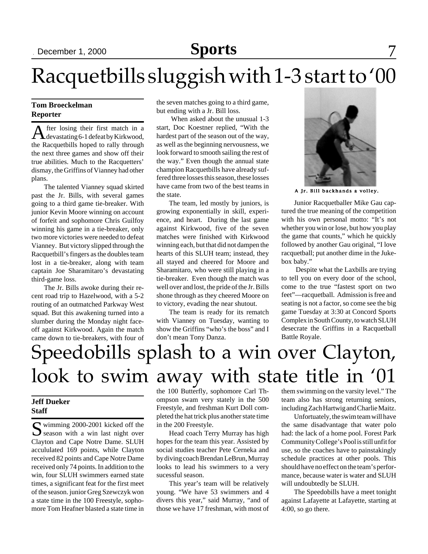## Racquetbills sluggish with 1-3 start to '00

### **Tom Broeckelman Reporter**

After losing their first match in a devastating 6-1 defeat by Kirkwood, the Racquetbills hoped to rally through the next three games and show off their true abilities. Much to the Racquetters' dismay, the Griffins of Vianney had other plans.

The talented Vianney squad skirted past the Jr. Bills, with several games going to a third game tie-breaker. With junior Kevin Moore winning on account of forfeit and sophomore Chris Guilfoy winning his game in a tie-breaker, only two more victories were needed to defeat Vianney. But victory slipped through the Racquetbill's fingers as the doubles team lost in a tie-breaker, along with team captain Joe Sharamitaro's devastating third-game loss.

The Jr. Bills awoke during their recent road trip to Hazelwood, with a 5-2 routing of an outmatched Parkway West squad. But this awakening turned into a slumber during the Monday night faceoff against Kirkwood. Again the match came down to tie-breakers, with four of the seven matches going to a third game, but ending with a Jr. Bill loss.

 When asked about the unusual 1-3 start, Doc Koestner replied, "With the hardest part of the season out of the way, as well as the beginning nervousness, we look forward to smooth sailing the rest of the way." Even though the annual state champion Racquetbills have already suffered three losses this season, these losses have came from two of the best teams in the state.

The team, led mostly by juniors, is growing exponentially in skill, experience, and heart. During the last game against Kirkwood, five of the seven matches were finished with Kirkwood winning each, but that did not dampen the hearts of this SLUH team; instead, they all stayed and cheered for Moore and Sharamitaro, who were still playing in a tie-breaker. Even though the match was well over and lost, the pride of the Jr. Bills shone through as they cheered Moore on to victory, evading the near shutout.

The team is ready for its rematch with Vianney on Tuesday, wanting to show the Griffins "who's the boss" and I don't mean Tony Danza.



A Jr. Bill backhands a volley.

Junior Racquetballer Mike Gau captured the true meaning of the competition with his own personal motto: "It's not whether you win or lose, but how you play the game that counts," which he quickly followed by another Gau original, "I love racquetball; put another dime in the Jukebox baby."

 Despite what the Laxbills are trying to tell you on every door of the school, come to the true "fastest sport on two feet"—racquetball. Admission is free and seating is not a factor, so come see the big game Tuesday at 3:30 at Concord Sports Complex in South County, to watch SLUH desecrate the Griffins in a Racquetball Battle Royale.

## Speedobills splash to a win over Clayton, look to swim away with state title in '01

### **Jeff Dueker Staff**

Swimming 2000-2001 kicked off the Season with a win last night over Clayton and Cape Notre Dame. SLUH accululated 169 points, while Clayton received 82 points and Cape Notre Dame received only 74 points. In addition to the win, four SLUH swimmers earned state times, a significant feat for the first meet of the season. junior Greg Szewczyk won a state time in the 100 Freestyle, sophomore Tom Heafner blasted a state time in

the 100 Butterfly, sophomore Carl Thompson swam very stately in the 500 Freestyle, and freshman Kurt Doll completed the hat trick plus another state time in the 200 Freestyle.

Head coach Terry Murray has high hopes for the team this year. Assisted by social studies teacher Pete Cerneka and by diving coach Brendan LeBrun, Murray looks to lead his swimmers to a very sucessful season.

This year's team will be relatively young. "We have 53 swimmers and 4 divers this year," said Murray, "and of those we have 17 freshman, with most of them swimming on the varsity level." The team also has strong returning seniors, including Zach Hartwig and Charlie Maitz.

Unfortuately, the swim team will have the same disadvantage that water polo had: the lack of a home pool. Forest Park Community College's Pool is still unfit for use, so the coaches have to painstakingly schedule practices at other pools. This should have no effect on the team's performance, because water is water and SLUH will undoubtedly be SLUH.

The Speedobills have a meet tonight against Lafayette at Lafayette, starting at 4:00, so go there.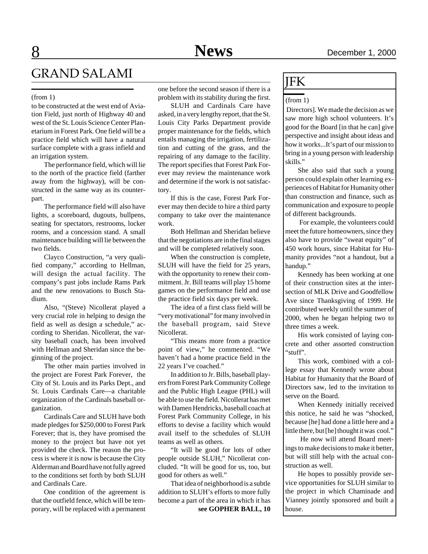## GRAND SALAMI

#### (from 1)

to be constructed at the west end of Aviation Field, just north of Highway 40 and west of the St. Louis Science Center Planetarium in Forest Park. One field will be a practice field which will have a natural surface complete with a grass infield and an irrigation system.

The performance field, which will lie to the north of the practice field (farther away from the highway), will be constructed in the same way as its counterpart.

The performance field will also have lights, a scoreboard, dugouts, bullpens, seating for spectators, restrooms, locker rooms, and a concession stand. A small maintenance building will lie between the two fields.

Clayco Construction, "a very qualified company," according to Hellman, will design the actual facility. The company's past jobs include Rams Park and the new renovations to Busch Stadium.

Also, "(Steve) Nicollerat played a very crucial role in helping to design the field as well as design a schedule," according to Sheridan. Nicollerat, the varsity baseball coach, has been involved with Hellman and Sheridan since the beginning of the project.

The other main parties involved in the project are Forest Park Forever, the City of St. Louis and its Parks Dept., and St. Louis Cardinals Care—a charitable organization of the Cardinals baseball organization.

Cardinals Care and SLUH have both made pledges for \$250,000 to Forest Park Forever; that is, they have promised the money to the project but have not yet provided the check. The reason the process is where it is now is because the City Alderman and Board have not fully agreed to the conditions set forth by both SLUH and Cardinals Care.

One condition of the agreement is that the outfield fence, which will be temporary, will be replaced with a permanent one before the second season if there is a problem with its stability during the first.

SLUH and Cardinals Care have asked, in a very lengthy report, that the St. Louis City Parks Department provide proper maintenance for the fields, which entails managing the irrigation, fertilization and cutting of the grass, and the repairing of any damage to the facility. The report specifies that Forest Park Forever may review the maintenance work and determine if the work is not satisfactory.

If this is the case, Forest Park Forever may then decide to hire a third party company to take over the maintenance work.

Both Hellman and Sheridan believe that the negotiations are in the final stages and will be completed relatively soon.

When the construction is complete, SLUH will have the field for 25 years, with the opportunity to renew their commitment. Jr. Bill teams will play 15 home games on the performance field and use the practice field six days per week.

The idea of a first class field will be "very motivational" for many involved in the baseball program, said Steve Nicollerat.

"This means more from a practice point of view," he commented. "We haven't had a home practice field in the 22 years I've coached."

In addition to Jr. Bills, baseball players from Forest Park Community College and the Public High League (PHL) will be able to use the field. Nicollerat has met with Damen Hendricks, baseball coach at Forest Park Community College, in his efforts to devise a facility which would avail itself to the schedules of SLUH teams as well as others.

"It will be good for lots of other people outside SLUH," Nicollerat concluded. "It will be good for us, too, but good for others as well."

That idea of neighborhood is a subtle addition to SLUH's efforts to more fully become a part of the area in which it has

**see GOPHER BALL, 10**

### JFK

#### (from 1)

 Directors]. We made the decision as we saw more high school volunteers. It's good for the Board [in that he can] give perspective and insight about ideas and how it works...It's part of our mission to bring in a young person with leadership skills."

She also said that such a young person could explain other learning experiences of Habitat for Humanity other than construction and finance, such as communication and exposure to people of different backgrounds.

 For example, the volunteers could meet the future homeowners, since they also have to provide "sweat equity" of 450 work hours, since Habitat for Humanity provides "not a handout, but a handup."

Kennedy has been working at one of their construction sites at the intersection of MLK Drive and Goodfellow Ave since Thanksgiving of 1999. He contributed weekly until the summer of 2000, when he began helping two to three times a week.

His work consisted of laying concrete and other assorted construction "stuff".

This work, combined with a college essay that Kennedy wrote about Habitat for Humanity that the Board of Directors saw, led to the invitation to serve on the Board.

When Kennedy initially received this notice, he said he was "shocked, because [he] had done a little here and a little there, but [he] thought it was cool."

 He now will attend Board meetings to make decisions to make it better, but will still help with the actual construction as well.

He hopes to possibly provide service opportunities for SLUH similar to the project in which Chaminade and Vianney jointly sponsored and built a house.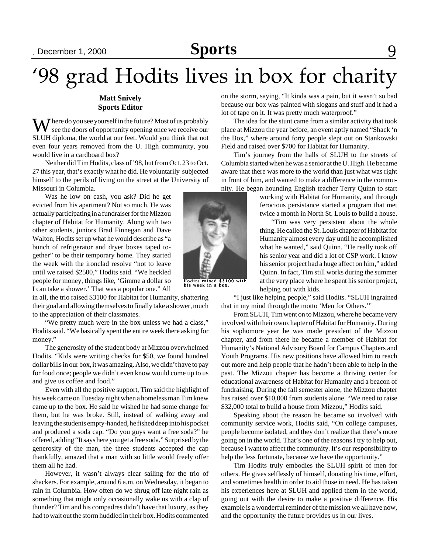## September 15, 2000 September 22, 2000 December 1, 2000 **Sports News** 9

# '98 grad Hodits lives in box for charity

### **Matt Snively Sports Editor**

 $\bf{W}$  here do you see yourself in the future? Most of us probably see the doors of opportunity opening once we receive our SLUH diploma, the world at our feet. Would you think that not even four years removed from the U. High community, you would live in a cardboard box?

Neither did Tim Hodits, class of '98, but from Oct. 23 to Oct. 27 this year, that's exactly what he did. He voluntarily subjected himself to the perils of living on the street at the University of Missouri in Columbia.

Was he low on cash, you ask? Did he get evicted from his apartment? Not so much. He was actually participating in a fundraiser for the Mizzou chapter of Habitat for Humanity. Along with two other students, juniors Brad Finnegan and Dave Walton, Hodits set up what he would describe as "a bunch of refrigerator and dryer boxes taped together" to be their temporary home. They started the week with the ironclad resolve "not to leave until we raised \$2500," Hodits said. "We heckled people for money, things like, 'Gimme a dollar so I can take a shower.' That was a popular one." All

in all, the trio raised \$3100 for Habitat for Humanity, shattering their goal and allowing themselves to finally take a shower, much to the appreciation of their classmates.

"We pretty much were in the box unless we had a class," Hodits said. "We basically spent the entire week there asking for money."

The generosity of the student body at Mizzou overwhelmed Hodits. "Kids were writing checks for \$50, we found hundred dollar bills in our box, it was amazing. Also, we didn't have to pay for food once; people we didn't even know would come up to us and give us coffee and food."

Even with all the positive support, Tim said the highlight of his week came on Tuesday night when a homeless man Tim knew came up to the box. He said he wished he had some change for them, but he was broke. Still, instead of walking away and leaving the students empty-handed, he fished deep into his pocket and produced a soda cap. "Do you guys want a free soda?" he offered, adding "It says here you get a free soda." Surprised by the generosity of the man, the three students accepted the cap thankfully, amazed that a man with so little would freely offer them all he had.

However, it wasn't always clear sailing for the trio of shackers. For example, around 6 a.m. on Wednesday, it began to rain in Columbia. How often do we shrug off late night rain as something that might only occasionally wake us with a clap of thunder? Tim and his compadres didn't have that luxury, as they had to wait out the storm huddled in their box. Hodits commented

on the storm, saying, "It kinda was a pain, but it wasn't so bad because our box was painted with slogans and stuff and it had a lot of tape on it. It was pretty much waterproof."

The idea for the stunt came from a similar activity that took place at Mizzou the year before, an event aptly named "Shack 'n the Box," where around forty people slept out on Stankowski Field and raised over \$700 for Habitat for Humanity.

Tim's journey from the halls of SLUH to the streets of Columbia started when he was a senior at the U. High. He became aware that there was more to the world than just what was right in front of him, and wanted to make a difference in the community. He began hounding English teacher Terry Quinn to start

working with Habitat for Humanity, and through ferocious persistance started a program that met twice a month in North St. Louis to build a house.

"Tim was very persistent about the whole thing. He called the St. Louis chapter of Habitat for Humanity almost every day until he accomplished what he wanted," said Quinn. "He really took off his senior year and did a lot of CSP work. I know his senior project had a huge affect on him," added Quinn. In fact, Tim still works during the summer at the very place where he spent his senior project, helping out with kids.

"I just like helping people," said Hodits. "SLUH ingrained that in my mind through the motto 'Men for Others.'"

From SLUH, Tim went on to Mizzou, where he became very involved with their own chapter of Habitat for Humanity. During his sophomore year he was made president of the Mizzou chapter, and from there he became a member of Habitat for Humanity's National Advisory Board for Campus Chapters and Youth Programs. His new positions have allowed him to reach out more and help people that he hadn't been able to help in the past. The Mizzou chapter has become a thriving center for educational awareness of Habitat for Humanity and a beacon of fundraising. During the fall semester alone, the Mizzou chapter has raised over \$10,000 from students alone. "We need to raise \$32,000 total to build a house from Mizzou," Hodits said.

Speaking about the reason he became so involved with community service work, Hodits said, "On college campuses, people become isolated, and they don't realize that there's more going on in the world. That's one of the reasons I try to help out, because I want to affect the community. It's our responsibility to help the less fortunate, because we have the opportunity."

Tim Hodits truly embodies the SLUH spirit of men for others. He gives selflessly of himself, donating his time, effort, and sometimes health in order to aid those in need. He has taken his experiences here at SLUH and applied them in the world, going out with the desire to make a positive difference. His example is a wonderful reminder of the mission we all have now, and the opportunity the future provides us in our lives.



Hodits raised \$3100 with his week in a box.